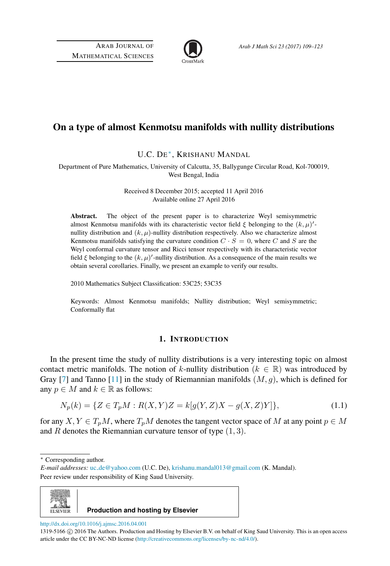

# On a type of almost Kenmotsu manifolds with nullity distributions

U.C. DE [∗](#page-0-0) , KRISHANU MANDAL

Department of Pure Mathematics, University of Calcutta, 35, Ballygunge Circular Road, Kol-700019, West Bengal, India

> Received 8 December 2015; accepted 11 April 2016 Available online 27 April 2016

Abstract. The object of the present paper is to characterize Weyl semisymmetric almost Kenmotsu manifolds with its characteristic vector field  $\xi$  belonging to the  $(k, \mu)'$ nullity distribution and  $(k, \mu)$ -nullity distribution respectively. Also we characterize almost Kenmotsu manifolds satisfying the curvature condition  $C \cdot S = 0$ , where C and S are the Weyl conformal curvature tensor and Ricci tensor respectively with its characteristic vector field  $\xi$  belonging to the  $(k, \mu)'$ -nullity distribution. As a consequence of the main results we obtain several corollaries. Finally, we present an example to verify our results.

2010 Mathematics Subject Classification: 53C25; 53C35

Keywords: Almost Kenmotsu manifolds; Nullity distribution; Weyl semisymmetric; Conformally flat

### 1. INTRODUCTION

In the present time the study of nullity distributions is a very interesting topic on almost contact metric manifolds. The notion of k-nullity distribution ( $k \in \mathbb{R}$ ) was introduced by Gray [\[7\]](#page-13-0) and Tanno [\[11\]](#page-14-0) in the study of Riemannian manifolds  $(M, g)$ , which is defined for any  $p \in M$  and  $k \in \mathbb{R}$  as follows:

$$
N_p(k) = \{ Z \in T_p M : R(X, Y)Z = k[g(Y, Z)X - g(X, Z)Y] \},
$$
\n(1.1)

for any  $X, Y \in T_pM$ , where  $T_pM$  denotes the tangent vector space of M at any point  $p \in M$ and R denotes the Riemannian curvature tensor of type  $(1, 3)$ .

*E-mail addresses:* uc [de@yahoo.com](mailto:uc_de@yahoo.com) (U.C. De), [krishanu.mandal013@gmail.com](mailto:krishanu.mandal013@gmail.com) (K. Mandal). Peer review under responsibility of King Saud University.



**Production and hosting by Elsevier**

<http://dx.doi.org/10.1016/j.ajmsc.2016.04.001>

<span id="page-0-0"></span><sup>∗</sup> Corresponding author.

<sup>1319-5166 © 2016</sup> The Authors. Production and Hosting by Elsevier B.V. on behalf of King Saud University. This is an open access article under the CC BY-NC-ND license [\(http://creativecommons.org/licenses/by-nc-nd/4.0/\)](http://creativecommons.org/licenses/by-nc-nd/4.0/).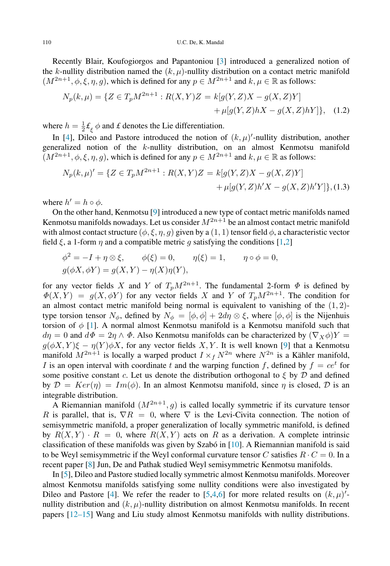Recently Blair, Koufogiorgos and Papantoniou [\[3\]](#page-13-1) introduced a generalized notion of the k-nullity distribution named the  $(k, \mu)$ -nullity distribution on a contact metric manifold  $(M^{2n+1}, \phi, \xi, \eta, g)$ , which is defined for any  $p \in M^{2n+1}$  and  $k, \mu \in \mathbb{R}$  as follows:

<span id="page-1-1"></span>
$$
N_p(k,\mu) = \{ Z \in T_p M^{2n+1} : R(X,Y)Z = k[g(Y,Z)X - g(X,Z)Y] + \mu[g(Y,Z)hX - g(X,Z)hY] \},
$$
 (1.2)

where  $h = \frac{1}{2} \mathcal{L}_{\xi} \phi$  and *£* denotes the Lie differentiation.

In [\[4\]](#page-13-2), Dileo and Pastore introduced the notion of  $(k, \mu)'$ -nullity distribution, another generalized notion of the k-nullity distribution, on an almost Kenmotsu manifold  $(M^{2n+1}, \phi, \xi, \eta, g)$ , which is defined for any  $p \in M^{2n+1}$  and  $k, \mu \in \mathbb{R}$  as follows:

<span id="page-1-0"></span>
$$
N_p(k,\mu)' = \{ Z \in T_p M^{2n+1} : R(X,Y)Z = k[g(Y,Z)X - g(X,Z)Y] + \mu[g(Y,Z)h'X - g(X,Z)h'Y] \}, (1.3)
$$

where  $h' = h \circ \phi$ .

On the other hand, Kenmotsu [\[9\]](#page-14-1) introduced a new type of contact metric manifolds named Kenmotsu manifolds nowadays. Let us consider  $M^{2n+1}$  be an almost contact metric manifold with almost contact structure  $(\phi, \xi, \eta, g)$  given by a  $(1, 1)$  tensor field  $\phi$ , a characteristic vector field  $\xi$ , a 1-form  $\eta$  and a compatible metric q satisfying the conditions [\[1,](#page-13-3)[2\]](#page-13-4)

$$
\phi^2 = -I + \eta \otimes \xi, \qquad \phi(\xi) = 0, \qquad \eta(\xi) = 1, \qquad \eta \circ \phi = 0,
$$
  

$$
g(\phi X, \phi Y) = g(X, Y) - \eta(X)\eta(Y),
$$

for any vector fields X and Y of  $T_pM^{2n+1}$ . The fundamental 2-form  $\Phi$  is defined by  $\Phi(X,Y) = g(X, \phi Y)$  for any vector fields X and Y of  $T_p M^{2n+1}$ . The condition for an almost contact metric manifold being normal is equivalent to vanishing of the  $(1, 2)$ type torsion tensor  $N_{\phi}$ , defined by  $N_{\phi} = [\phi, \phi] + 2d\eta \otimes \xi$ , where  $[\phi, \phi]$  is the Nijenhuis torsion of  $\phi$  [\[1\]](#page-13-3). A normal almost Kenmotsu manifold is a Kenmotsu manifold such that  $d\eta = 0$  and  $d\Phi = 2\eta \wedge \Phi$ . Also Kenmotsu manifolds can be characterized by  $(\nabla_X \phi)Y =$  $g(\phi X, Y)\xi - \eta(Y)\phi X$ , for any vector fields X, Y. It is well known [\[9\]](#page-14-1) that a Kenmotsu manifold  $M^{2n+1}$  is locally a warped product  $I \times f N^{2n}$  where  $N^{2n}$  is a Kähler manifold, I is an open interval with coordinate t and the warping function f, defined by  $f = ce^t$  for some positive constant c. Let us denote the distribution orthogonal to  $\xi$  by  $D$  and defined by  $\mathcal{D} = Ker(\eta) = Im(\phi)$ . In an almost Kenmotsu manifold, since  $\eta$  is closed,  $\mathcal{D}$  is an integrable distribution.

A Riemannian manifold  $(M^{2n+1}, g)$  is called locally symmetric if its curvature tensor R is parallel, that is,  $\nabla R = 0$ , where  $\nabla$  is the Levi-Civita connection. The notion of semisymmetric manifold, a proper generalization of locally symmetric manifold, is defined by  $R(X, Y) \cdot R = 0$ , where  $R(X, Y)$  acts on R as a derivation. A complete intrinsic classification of these manifolds was given by Szabó in  $[10]$  $[10]$ . A Riemannian manifold is said to be Weyl semisymmetric if the Weyl conformal curvature tensor C satisfies  $R \cdot C = 0$ . In a recent paper [\[8\]](#page-14-3) Jun, De and Pathak studied Weyl semisymmetric Kenmotsu manifolds.

In [\[5\]](#page-13-5), Dileo and Pastore studied locally symmetric almost Kenmotsu manifolds. Moreover almost Kenmotsu manifolds satisfying some nullity conditions were also investigated by Dileo and Pastore [\[4\]](#page-13-2). We refer the reader to [\[5,](#page-13-5)[4,](#page-13-2)[6\]](#page-13-6) for more related results on  $(k, \mu)'$ nullity distribution and  $(k, \mu)$ -nullity distribution on almost Kenmotsu manifolds. In recent papers [\[12–15\]](#page-14-4) Wang and Liu study almost Kenmotsu manifolds with nullity distributions.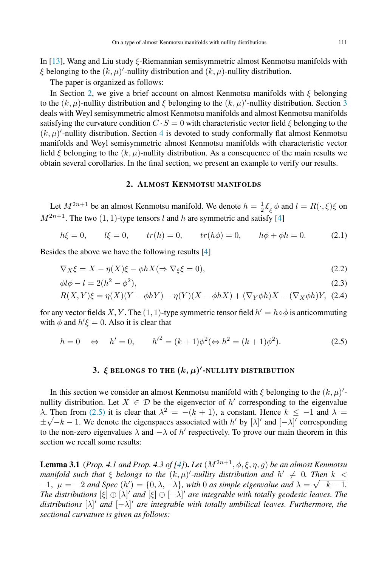In [\[13\]](#page-14-5), Wang and Liu study ξ-Riemannian semisymmetric almost Kenmotsu manifolds with  $\xi$  belonging to the  $(k, \mu)'$ -nullity distribution and  $(k, \mu)$ -nullity distribution.

The paper is organized as follows:

In Section [2,](#page-2-0) we give a brief account on almost Kenmotsu manifolds with  $\xi$  belonging to the  $(k, \mu)$ -nullity distribution and  $\xi$  belonging to the  $(k, \mu)'$ -nullity distribution. Section [3](#page-2-1) deals with Weyl semisymmetric almost Kenmotsu manifolds and almost Kenmotsu manifolds satisfying the curvature condition  $C \cdot S = 0$  with characteristic vector field  $\xi$  belonging to the  $(k, \mu)'$ -nullity distribution. Section [4](#page-7-0) is devoted to study conformally flat almost Kenmotsu manifolds and Weyl semisymmetric almost Kenmotsu manifolds with characteristic vector field  $\xi$  belonging to the  $(k, \mu)$ -nullity distribution. As a consequence of the main results we obtain several corollaries. In the final section, we present an example to verify our results.

### <span id="page-2-0"></span>2. ALMOST KENMOTSU MANIFOLDS

Let  $M^{2n+1}$  be an almost Kenmotsu manifold. We denote  $h = \frac{1}{2} \mathcal{L}_{\xi} \phi$  and  $l = R(\cdot, \xi)\xi$  on  $M^{2n+1}$ . The two  $(1, 1)$ -type tensors l and h are symmetric and satisfy [\[4\]](#page-13-2)

$$
h\xi = 0,
$$
  $l\xi = 0,$   $tr(h) = 0,$   $tr(h\phi) = 0,$   $h\phi + \phi h = 0.$  (2.1)

Besides the above we have the following results [\[4\]](#page-13-2)

$$
\nabla_X \xi = X - \eta(X)\xi - \phi h X (\Rightarrow \nabla_{\xi} \xi = 0),\tag{2.2}
$$

$$
\phi l \phi - l = 2(h^2 - \phi^2),\tag{2.3}
$$

$$
R(X,Y)\xi = \eta(X)(Y - \phi hY) - \eta(Y)(X - \phi hX) + (\nabla_Y \phi h)X - (\nabla_X \phi h)Y, (2.4)
$$

for any vector fields X, Y. The  $(1, 1)$ -type symmetric tensor field  $h' = h \circ \phi$  is anticommuting with  $\phi$  and  $h' \xi = 0$ . Also it is clear that

$$
h = 0 \Leftrightarrow h' = 0, \qquad {h'}^2 = (k+1)\phi^2 (\Leftrightarrow h^2 = (k+1)\phi^2).
$$
 (2.5)

## <span id="page-2-2"></span><span id="page-2-1"></span>3.  $\xi$  belongs to the  $(k,\mu)'$ -nullity distribution

In this section we consider an almost Kenmotsu manifold with  $\xi$  belonging to the  $(k, \mu)'$ nullity distribution. Let  $X \in \mathcal{D}$  be the eigenvector of  $h'$  corresponding to the eigenvalue  $\lambda$ . Then from [\(2.5\)](#page-2-2) it is clear that  $\lambda^2 = -(k+1)$ , a constant. Hence  $k \le -1$  and  $\lambda =$  $\pm \sqrt{-k-1}$ . We denote the eigenspaces associated with h' by  $[\lambda]'$  and  $[-\lambda]'$  corresponding to the non-zero eigenvalues  $\lambda$  and  $-\lambda$  of  $h'$  respectively. To prove our main theorem in this section we recall some results:

<span id="page-2-3"></span>**Lemma 3.1** (*Prop. 4.1 and Prop. 4.3 of* [\[4\]](#page-13-2)). *Let*  $(M^{2n+1}, \phi, \xi, \eta, g)$  *be an almost Kenmotsu manifold such that*  $\xi$  *belongs to the*  $(k, \mu)'$ -*nullity distribution and*  $h' \neq 0$ . Then  $k <$  $-1$ ,  $\mu = -2$  and Spec  $(h') = \{0, \lambda, -\lambda\}$ , with 0 as simple eigenvalue and  $\lambda = \sqrt{-k-1}$ . *The distributions*  $[\xi] \oplus [\lambda]'$  *and*  $[\xi] \oplus [-\lambda]'$  *are integrable with totally geodesic leaves. The distributions* [λ] ′ *and* [−λ] ′ *are integrable with totally umbilical leaves. Furthermore, the sectional curvature is given as follows:*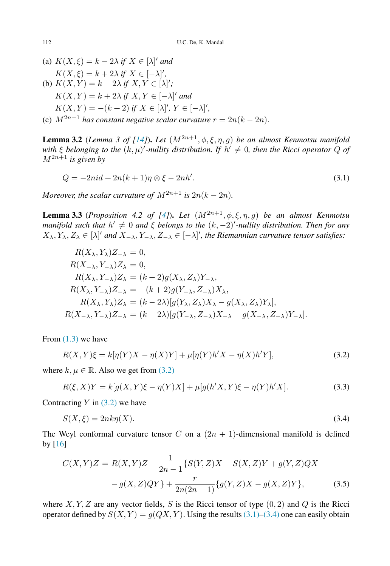(a)  $K(X, \xi) = k - 2\lambda$  if  $X \in [\lambda]'$  and  $K(X,\xi) = k + 2\lambda \text{ if } X \in [-\lambda]'$ , (b)  $K(X, Y) = k - 2\lambda$  *if*  $X, Y \in [\lambda]$ ;  $K(X,Y) = k + 2\lambda$  if  $X, Y \in [-\lambda]'$  and  $K(X,Y) = -(k+2)$  if  $X \in [\lambda]'$ ,  $Y \in [-\lambda]'$ , (c)  $M^{2n+1}$  *has constant negative scalar curvature*  $r = 2n(k - 2n)$ *.* 

<span id="page-3-4"></span>**Lemma 3.2** (*Lemma 3 of [\[14\]](#page-14-6)*). *Let*  $(M^{2n+1}, \phi, \xi, \eta, g)$  *be an almost Kenmotsu manifold* with  $\xi$  belonging to the  $(k,\mu)'$ -nullity distribution. If  $h' \neq 0$ , then the Ricci operator  $Q$  of  $M^{2n+1}$  *is given by* 

<span id="page-3-5"></span><span id="page-3-1"></span>
$$
Q = -2ni d + 2n(k+1)\eta \otimes \xi - 2nh'.
$$
\n
$$
(3.1)
$$

*Moreover, the scalar curvature of*  $M^{2n+1}$  *is*  $2n(k-2n)$ *.* 

**Lemma 3.3** (*Proposition 4.2 of [\[4\]](#page-13-2)*). *Let*  $(M^{2n+1}, \phi, \xi, \eta, q)$  *be an almost Kenmotsu manifold such that*  $h' \neq 0$  *and*  $\xi$  *belongs to the*  $(k, -2)'$ -nullity distribution. Then for any  $X_{\lambda}, Y_{\lambda}, Z_{\lambda} \in [\lambda]'$  and  $X_{-\lambda}, Y_{-\lambda}, Z_{-\lambda} \in [-\lambda]'$ , the Riemannian curvature tensor satisfies:

$$
R(X_{\lambda}, Y_{\lambda})Z_{-\lambda} = 0,
$$
  
\n
$$
R(X_{-\lambda}, Y_{-\lambda})Z_{\lambda} = 0,
$$
  
\n
$$
R(X_{\lambda}, Y_{-\lambda})Z_{\lambda} = (k+2)g(X_{\lambda}, Z_{\lambda})Y_{-\lambda},
$$
  
\n
$$
R(X_{\lambda}, Y_{-\lambda})Z_{-\lambda} = -(k+2)g(Y_{-\lambda}, Z_{-\lambda})X_{\lambda},
$$
  
\n
$$
R(X_{\lambda}, Y_{\lambda})Z_{\lambda} = (k-2\lambda)[g(Y_{\lambda}, Z_{\lambda})X_{\lambda} - g(X_{\lambda}, Z_{\lambda})Y_{\lambda}],
$$
  
\n
$$
R(X_{-\lambda}, Y_{-\lambda})Z_{-\lambda} = (k+2\lambda)[g(Y_{-\lambda}, Z_{-\lambda})X_{-\lambda} - g(X_{-\lambda}, Z_{-\lambda})Y_{-\lambda}].
$$

From  $(1.3)$  we have

<span id="page-3-0"></span>
$$
R(X,Y)\xi = k[\eta(Y)X - \eta(X)Y] + \mu[\eta(Y)h'X - \eta(X)h'Y],
$$
\n(3.2)

where  $k, \mu \in \mathbb{R}$ . Also we get from [\(3.2\)](#page-3-0)

<span id="page-3-3"></span>
$$
R(\xi, X)Y = k[g(X, Y)\xi - \eta(Y)X] + \mu[g(h'X, Y)\xi - \eta(Y)h'X].
$$
\n(3.3)

Contracting  $Y$  in [\(3.2\)](#page-3-0) we have

<span id="page-3-2"></span>
$$
S(X,\xi) = 2nk\eta(X). \tag{3.4}
$$

The Weyl conformal curvature tensor C on a  $(2n + 1)$ -dimensional manifold is defined by [\[16\]](#page-14-7)

<span id="page-3-6"></span>
$$
C(X,Y)Z = R(X,Y)Z - \frac{1}{2n-1} \{ S(Y,Z)X - S(X,Z)Y + g(Y,Z)QX
$$

$$
-g(X,Z)QY \} + \frac{r}{2n(2n-1)} \{ g(Y,Z)X - g(X,Z)Y \},
$$
(3.5)

where X, Y, Z are any vector fields, S is the Ricci tensor of type  $(0, 2)$  and Q is the Ricci operator defined by  $S(X, Y) = g(QX, Y)$ . Using the results [\(3.1\)](#page-3-1)[–\(3.4\)](#page-3-2) one can easily obtain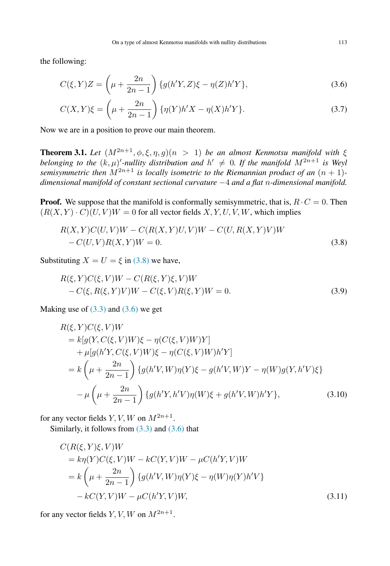the following:

$$
C(\xi, Y)Z = \left(\mu + \frac{2n}{2n - 1}\right) \{g(h'Y, Z)\xi - \eta(Z)h'Y\},\tag{3.6}
$$

<span id="page-4-2"></span><span id="page-4-1"></span>
$$
C(X,Y)\xi = \left(\mu + \frac{2n}{2n-1}\right) \{\eta(Y)h'X - \eta(X)h'Y\}.
$$
 (3.7)

Now we are in a position to prove our main theorem.

<span id="page-4-5"></span>**Theorem 3.1.** *Let*  $(M^{2n+1}, \phi, \xi, \eta, g)(n > 1)$  *be an almost Kenmotsu manifold with*  $\xi$ *belonging to the*  $(k, \mu)'$ -nullity distribution and  $h' \neq 0$ . If the manifold  $M^{2n+1}$  is Weyl *semisymmetric then*  $M^{2n+1}$  *is locally isometric to the Riemannian product of an*  $(n + 1)$ *dimensional manifold of constant sectional curvature* −4 *and a flat* n*-dimensional manifold.*

**Proof.** We suppose that the manifold is conformally semisymmetric, that is,  $R \cdot C = 0$ . Then  $(R(X, Y) \cdot C)(U, V)W = 0$  for all vector fields X, Y, U, V, W, which implies

<span id="page-4-0"></span>
$$
R(X,Y)C(U,V)W - C(R(X,Y)U,V)W - C(U,R(X,Y)V)W - C(U,V)R(X,Y)W = 0.
$$
\n(3.8)

Substituting  $X = U = \xi$  in [\(3.8\)](#page-4-0) we have,

<span id="page-4-4"></span>
$$
R(\xi, Y)C(\xi, V)W - C(R(\xi, Y)\xi, V)W - C(\xi, R(\xi, Y)V)W - C(\xi, V)R(\xi, Y)W = 0.
$$
\n(3.9)

Making use of  $(3.3)$  and  $(3.6)$  we get

<span id="page-4-3"></span>
$$
R(\xi, Y)C(\xi, V)W
$$
  
= k[g(Y, C(\xi, V)W)\xi - \eta(C(\xi, V)W)Y]  
+ \mu[g(h'Y, C(\xi, V)W)\xi - \eta(C(\xi, V)W)h'Y]  
= k\left(\mu + \frac{2n}{2n - 1}\right) \{g(h'V, W)\eta(Y)\xi - g(h'V, W)Y - \eta(W)g(Y, h'V)\xi\}  
-\mu\left(\mu + \frac{2n}{2n - 1}\right) \{g(h'Y, h'V)\eta(W)\xi + g(h'V, W)h'Y\}, (3.10)

for any vector fields  $Y, V, W$  on  $M^{2n+1}$ .

Similarly, it follows from [\(3.3\)](#page-3-3) and [\(3.6\)](#page-4-1) that

$$
C(R(\xi, Y)\xi, V)W
$$
  
=  $k\eta(Y)C(\xi, V)W - kC(Y, V)W - \mu C(h'Y, V)W$   
=  $k\left(\mu + \frac{2n}{2n-1}\right) \{g(h'V, W)\eta(Y)\xi - \eta(W)\eta(Y)h'V\}$   
-  $kC(Y, V)W - \mu C(h'Y, V)W,$  (3.11)

for any vector fields  $Y, V, W$  on  $M^{2n+1}$ .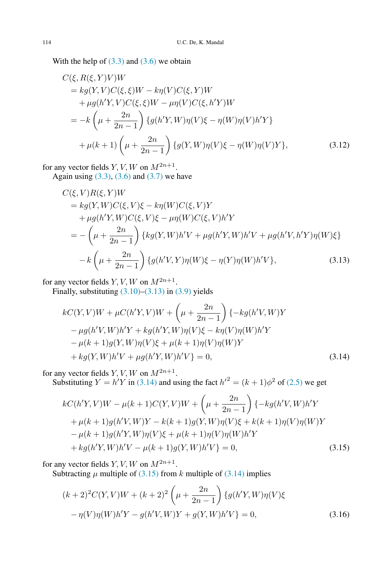With the help of  $(3.3)$  and  $(3.6)$  we obtain

$$
C(\xi, R(\xi, Y)V)W \n= kg(Y, V)C(\xi, \xi)W - k\eta(V)C(\xi, Y)W \n+ \mu g(h'Y, V)C(\xi, \xi)W - \mu \eta(V)C(\xi, h'Y)W \n= -k\left(\mu + \frac{2n}{2n-1}\right) \{g(h'Y, W)\eta(V)\xi - \eta(W)\eta(V)h'Y\} \n+ \mu(k+1)\left(\mu + \frac{2n}{2n-1}\right) \{g(Y, W)\eta(V)\xi - \eta(W)\eta(V)Y\},
$$
\n(3.12)

for any vector fields  $Y, V, W$  on  $M^{2n+1}$ . Again using  $(3.3)$ ,  $(3.6)$  and  $(3.7)$  we have

$$
C(\xi, V)R(\xi, Y)W
$$
  
=  $kg(Y, W)C(\xi, V)\xi - k\eta(W)C(\xi, V)Y$   
+  $\mu g(h'Y, W)C(\xi, V)\xi - \mu\eta(W)C(\xi, V)h'Y$   
=  $-\left(\mu + \frac{2n}{2n-1}\right) \{kg(Y, W)h'V + \mu g(h'Y, W)h'V + \mu g(h'V, h'Y)\eta(W)\xi\}$   
-  $k\left(\mu + \frac{2n}{2n-1}\right) \{g(h'V, Y)\eta(W)\xi - \eta(Y)\eta(W)h'V\},$  (3.13)

for any vector fields  $Y, V, W$  on  $M^{2n+1}$ .

Finally, substituting  $(3.10)$ – $(3.13)$  in  $(3.9)$  yields

<span id="page-5-0"></span>
$$
kC(Y, V)W + \mu C(h'Y, V)W + \left(\mu + \frac{2n}{2n - 1}\right)\{-kg(h'V, W)Y - \mu g(h'V, W)h'Y + kg(h'Y, W)\eta(V)\xi - k\eta(V)\eta(W)h'Y - \mu(k + 1)g(Y, W)\eta(V)\xi + \mu(k + 1)\eta(V)\eta(W)Y + kg(Y, W)h'V + \mu g(h'Y, W)h'V \} = 0,
$$
\n(3.14)

for any vector fields  $Y, V, W$  on  $M^{2n+1}$ .

Substituting  $Y = h'Y$  in [\(3.14\)](#page-5-1) and using the fact  $h'^2 = (k+1)\phi^2$  of [\(2.5\)](#page-2-2) we get

<span id="page-5-1"></span>
$$
kC(h'Y, V)W - \mu(k+1)C(Y, V)W + \left(\mu + \frac{2n}{2n-1}\right)\{-kg(h'V, W)h'Y
$$
  
+  $\mu(k+1)g(h'V, W)Y - k(k+1)g(Y, W)\eta(V)\xi + k(k+1)\eta(V)\eta(W)Y$   
-  $\mu(k+1)g(h'Y, W)\eta(V)\xi + \mu(k+1)\eta(V)\eta(W)h'Y$   
+  $kg(h'Y, W)h'V - \mu(k+1)g(Y, W)h'V = 0,$  (3.15)

for any vector fields  $Y, V, W$  on  $M^{2n+1}$ .

Subtracting  $\mu$  multiple of [\(3.15\)](#page-5-2) from k multiple of [\(3.14\)](#page-5-1) implies

<span id="page-5-3"></span><span id="page-5-2"></span>
$$
(k+2)^{2}C(Y,V)W + (k+2)^{2}\left(\mu + \frac{2n}{2n-1}\right)\left\{g(h'Y,W)\eta(V)\xi\right\}
$$

$$
-\eta(V)\eta(W)h'Y - g(h'V,W)Y + g(Y,W)h'V\} = 0,
$$
(3.16)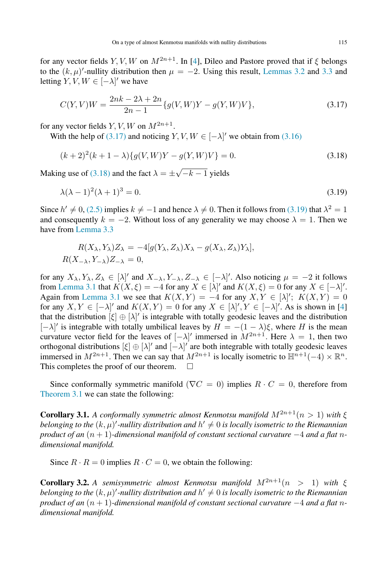for any vector fields Y, V, W on  $M^{2n+1}$ . In [\[4\]](#page-13-2), Dileo and Pastore proved that if  $\xi$  belongs to the  $(k, \mu)'$ -nullity distribution then  $\mu = -2$ . Using this result, [Lemmas 3.2](#page-3-4) and [3.3](#page-3-5) and letting  $Y, V, W \in [-\lambda]'$  we have

<span id="page-6-0"></span>
$$
C(Y,V)W = \frac{2nk - 2\lambda + 2n}{2n - 1} \{g(V,W)Y - g(Y,W)V\},
$$
\n(3.17)

for any vector fields  $Y, V, W$  on  $M^{2n+1}$ .

With the help of [\(3.17\)](#page-6-0) and noticing  $Y, V, W \in [-\lambda]'$  we obtain from [\(3.16\)](#page-5-3)

<span id="page-6-1"></span>
$$
(k+2)^{2}(k+1-\lambda)\{g(V,W)Y - g(Y,W)V\} = 0.
$$
\n(3.18)

Making use of [\(3.18\)](#page-6-1) and the fact  $\lambda = \pm$ √  $-k-1$  yields

<span id="page-6-2"></span>
$$
\lambda(\lambda - 1)^2(\lambda + 1)^3 = 0.\tag{3.19}
$$

Since  $h' \neq 0$ , [\(2.5\)](#page-2-2) implies  $k \neq -1$  and hence  $\lambda \neq 0$ . Then it follows from [\(3.19\)](#page-6-2) that  $\lambda^2 = 1$ and consequently  $k = -2$ . Without loss of any generality we may choose  $\lambda = 1$ . Then we have from [Lemma 3.3](#page-3-5)

$$
R(X_{\lambda}, Y_{\lambda})Z_{\lambda} = -4[g(Y_{\lambda}, Z_{\lambda})X_{\lambda} - g(X_{\lambda}, Z_{\lambda})Y_{\lambda}],
$$
  

$$
R(X_{-\lambda}, Y_{-\lambda})Z_{-\lambda} = 0,
$$

for any  $X_{\lambda}, Y_{\lambda}, Z_{\lambda} \in [\lambda]'$  and  $X_{-\lambda}, Y_{-\lambda}, Z_{-\lambda} \in [-\lambda]'$ . Also noticing  $\mu = -2$  it follows from [Lemma 3.1](#page-2-3) that  $K(X, \xi) = -4$  for any  $X \in [\lambda]'$  and  $K(X, \xi) = 0$  for any  $X \in [-\lambda]'$ . Again from [Lemma 3.1](#page-2-3) we see that  $K(X,Y) = -4$  for any  $X, Y \in [\lambda]'$ ;  $K(X,Y) = 0$ for any  $X, Y \in [-\lambda]'$  and  $K(X, Y) = 0$  for any  $X \in [\lambda]'$ ,  $Y \in [-\lambda]'$ . As is shown in [\[4\]](#page-13-2) that the distribution  $[\xi] \oplus [\lambda]'$  is integrable with totally geodesic leaves and the distribution  $[-\lambda]'$  is integrable with totally umbilical leaves by  $H = -(1 - \lambda)\xi$ , where H is the mean curvature vector field for the leaves of  $[-\lambda]'$  immersed in  $M^{2n+1}$ . Here  $\lambda = 1$ , then two orthogonal distributions  $[\xi] \oplus [\lambda]'$  and  $[-\lambda]'$  are both integrable with totally geodesic leaves immersed in  $M^{2n+1}$ . Then we can say that  $M^{2n+1}$  is locally isometric to  $\mathbb{H}^{n+1}(-4) \times \mathbb{R}^n$ . This completes the proof of our theorem.  $\Box$ 

Since conformally symmetric manifold ( $\nabla C = 0$ ) implies  $R \cdot C = 0$ , therefore from [Theorem 3.1](#page-4-5) we can state the following:

**Corollary 3.1.** *A conformally symmetric almost Kenmotsu manifold*  $M^{2n+1}(n > 1)$  *with*  $\xi$ *belonging to the*  $(k, \mu)'$ -nullity distribution and  $h' \neq 0$  is locally isometric to the Riemannian *product of an* (n + 1)*-dimensional manifold of constant sectional curvature* −4 *and a flat* n*dimensional manifold.*

Since  $R \cdot R = 0$  implies  $R \cdot C = 0$ , we obtain the following:

Corollary 3.2. *A semisymmetric almost Kenmotsu manifold*  $M^{2n+1}(n > 1)$  *with*  $\xi$ *belonging to the*  $(k, \mu)'$ -nullity distribution and  $h' \neq 0$  is locally isometric to the Riemannian *product of an*  $(n + 1)$ *-dimensional manifold of constant sectional curvature* −4 *and a flat* n*dimensional manifold.*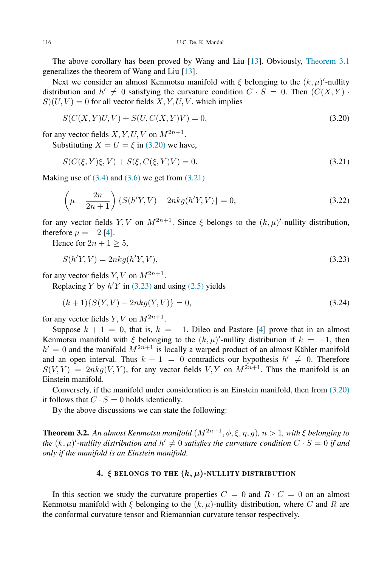The above corollary has been proved by Wang and Liu [\[13\]](#page-14-5). Obviously, [Theorem 3.1](#page-4-5) generalizes the theorem of Wang and Liu [\[13\]](#page-14-5).

Next we consider an almost Kenmotsu manifold with  $\xi$  belonging to the  $(k, \mu)'$ -nullity distribution and  $h' \neq 0$  satisfying the curvature condition  $C \cdot S = 0$ . Then  $(C(X, Y) \cdot$  $S(U, V) = 0$  for all vector fields  $X, Y, U, V$ , which implies

<span id="page-7-1"></span>
$$
S(C(X, Y)U, V) + S(U, C(X, Y)V) = 0,
$$
\n(3.20)

for any vector fields  $X, Y, U, V$  on  $M^{2n+1}$ .

Substituting  $X = U = \xi$  in [\(3.20\)](#page-7-1) we have,

<span id="page-7-2"></span>
$$
S(C(\xi, Y)\xi, V) + S(\xi, C(\xi, Y)V) = 0.
$$
\n(3.21)

Making use of  $(3.4)$  and  $(3.6)$  we get from  $(3.21)$ 

$$
\left(\mu + \frac{2n}{2n+1}\right) \{ S(h'Y, V) - 2nkg(h'Y, V) \} = 0,
$$
\n(3.22)

for any vector fields  $Y, V$  on  $M^{2n+1}$ . Since  $\xi$  belongs to the  $(k, \mu)'$ -nullity distribution, therefore  $\mu = -2$  [\[4\]](#page-13-2).

Hence for  $2n + 1 > 5$ ,

<span id="page-7-3"></span>
$$
S(h'Y, V) = 2nkg(h'Y, V),\tag{3.23}
$$

for any vector fields  $Y, V$  on  $M^{2n+1}$ .

Replacing Y by  $h'Y$  in [\(3.23\)](#page-7-3) and using [\(2.5\)](#page-2-2) yields

$$
(k+1)\{S(Y,V) - 2nkg(Y,V)\} = 0,\t(3.24)
$$

for any vector fields  $Y, V$  on  $M^{2n+1}$ .

Suppose  $k + 1 = 0$ , that is,  $k = -1$ . Dileo and Pastore [\[4\]](#page-13-2) prove that in an almost Kenmotsu manifold with  $\xi$  belonging to the  $(k, \mu)'$ -nullity distribution if  $k = -1$ , then  $h' = 0$  and the manifold  $M^{2n+1}$  is locally a warped product of an almost Kähler manifold and an open interval. Thus  $k + 1 = 0$  contradicts our hypothesis  $h' \neq 0$ . Therefore  $S(V, Y) = 2nkg(V, Y)$ , for any vector fields V, Y on  $M^{2n+1}$ . Thus the manifold is an Einstein manifold.

Conversely, if the manifold under consideration is an Einstein manifold, then from [\(3.20\)](#page-7-1) it follows that  $C \cdot S = 0$  holds identically.

<span id="page-7-4"></span>By the above discussions we can state the following:

**Theorem 3.2.** An almost Kenmotsu manifold  $(M^{2n+1}, \phi, \xi, \eta, g)$ ,  $n > 1$ , with  $\xi$  belonging to the  $(k, \mu)'$ -nullity distribution and  $h' \neq 0$  satisfies the curvature condition  $C \cdot S = 0$  if and *only if the manifold is an Einstein manifold.*

### <span id="page-7-0"></span>4.  $\xi$  belongs to the  $(k, \mu)$ -nullity distribution

In this section we study the curvature properties  $C = 0$  and  $R \cdot C = 0$  on an almost Kenmotsu manifold with  $\xi$  belonging to the  $(k, \mu)$ -nullity distribution, where C and R are the conformal curvature tensor and Riemannian curvature tensor respectively.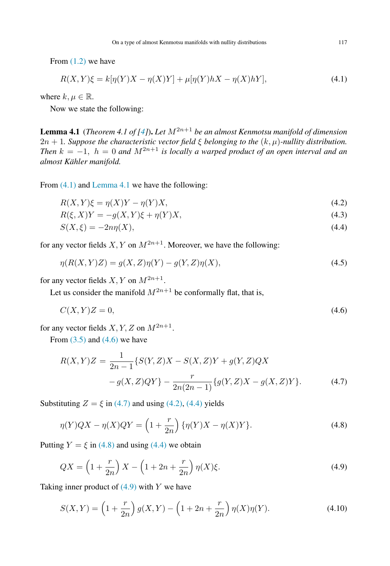From [\(1.2\)](#page-1-1) we have

<span id="page-8-0"></span>
$$
R(X,Y)\xi = k[\eta(Y)X - \eta(X)Y] + \mu[\eta(Y)hX - \eta(X)hY],
$$
\n(4.1)

where  $k, \mu \in \mathbb{R}$ .

<span id="page-8-1"></span>Now we state the following:

**Lemma 4.1** (*Theorem 4.1 of [\[4\]](#page-13-2)*). Let  $M^{2n+1}$  be an almost Kenmotsu manifold of dimension  $2n + 1$ *. Suppose the characteristic vector field*  $\xi$  *belonging to the*  $(k, \mu)$ *-nullity distribution. Then*  $k = -1$ ,  $h = 0$  *and*  $M^{2n+1}$  *is locally a warped product of an open interval and an almost Kahler manifold. ¨*

From  $(4.1)$  and [Lemma 4.1](#page-8-1) we have the following:

$$
R(X,Y)\xi = \eta(X)Y - \eta(Y)X,\tag{4.2}
$$

<span id="page-8-4"></span>
$$
R(\xi, X)Y = -g(X, Y)\xi + \eta(Y)X,\tag{4.3}
$$

<span id="page-8-8"></span><span id="page-8-5"></span>
$$
S(X,\xi) = -2n\eta(X),\tag{4.4}
$$

for any vector fields  $X, Y$  on  $M^{2n+1}$ . Moreover, we have the following:

$$
\eta(R(X,Y)Z) = g(X,Z)\eta(Y) - g(Y,Z)\eta(X),
$$
\n(4.5)

for any vector fields  $X, Y$  on  $M^{2n+1}$ .

Let us consider the manifold  $M^{2n+1}$  be conformally flat, that is,

<span id="page-8-2"></span>
$$
C(X,Y)Z = 0,\t\t(4.6)
$$

for any vector fields  $X, Y, Z$  on  $M^{2n+1}$ .

From  $(3.5)$  and  $(4.6)$  we have

<span id="page-8-3"></span>
$$
R(X,Y)Z = \frac{1}{2n-1} \{ S(Y,Z)X - S(X,Z)Y + g(Y,Z)QX
$$

$$
-g(X,Z)QY \} - \frac{r}{2n(2n-1)} \{ g(Y,Z)X - g(X,Z)Y \}. \tag{4.7}
$$

Substituting  $Z = \xi$  in [\(4.7\)](#page-8-3) and using [\(4.2\),](#page-8-4) [\(4.4\)](#page-8-5) yields

<span id="page-8-6"></span>
$$
\eta(Y)QX - \eta(X)QY = \left(1 + \frac{r}{2n}\right)\{\eta(Y)X - \eta(X)Y\}.
$$
\n(4.8)

Putting  $Y = \xi$  in [\(4.8\)](#page-8-6) and using [\(4.4\)](#page-8-5) we obtain

<span id="page-8-7"></span>
$$
QX = \left(1 + \frac{r}{2n}\right)X - \left(1 + 2n + \frac{r}{2n}\right)\eta(X)\xi.
$$
\n
$$
(4.9)
$$

Taking inner product of  $(4.9)$  with Y we have

$$
S(X,Y) = \left(1 + \frac{r}{2n}\right)g(X,Y) - \left(1 + 2n + \frac{r}{2n}\right)\eta(X)\eta(Y).
$$
 (4.10)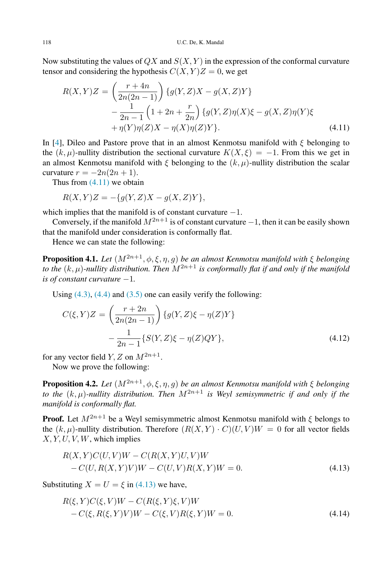Now substituting the values of  $QX$  and  $S(X, Y)$  in the expression of the conformal curvature tensor and considering the hypothesis  $C(X, Y)Z = 0$ , we get

<span id="page-9-0"></span>
$$
R(X,Y)Z = \left(\frac{r+4n}{2n(2n-1)}\right) \{g(Y,Z)X - g(X,Z)Y\}
$$

$$
-\frac{1}{2n-1} \left(1+2n+\frac{r}{2n}\right) \{g(Y,Z)\eta(X)\xi - g(X,Z)\eta(Y)\xi
$$

$$
+\eta(Y)\eta(Z)X - \eta(X)\eta(Z)Y\}. \tag{4.11}
$$

In [\[4\]](#page-13-2), Dileo and Pastore prove that in an almost Kenmotsu manifold with  $\xi$  belonging to the  $(k, \mu)$ -nullity distribution the sectional curvature  $K(X, \xi) = -1$ . From this we get in an almost Kenmotsu manifold with  $\xi$  belonging to the  $(k, \mu)$ -nullity distribution the scalar curvature  $r = -2n(2n + 1)$ .

Thus from  $(4.11)$  we obtain

$$
R(X,Y)Z = -\{g(Y,Z)X - g(X,Z)Y\},\
$$

which implies that the manifold is of constant curvature  $-1$ .

Conversely, if the manifold  $M^{2n+1}$  is of constant curvature  $-1$ , then it can be easily shown that the manifold under consideration is conformally flat.

<span id="page-9-4"></span>Hence we can state the following:

**Proposition 4.1.** *Let*  $(M^{2n+1}, \phi, \xi, \eta, g)$  *be an almost Kenmotsu manifold with*  $\xi$  *belonging to the*  $(k, \mu)$ -nullity distribution. Then  $M^{2n+1}$  is conformally flat if and only if the manifold *is of constant curvature* −1*.*

Using  $(4.3)$ ,  $(4.4)$  and  $(3.5)$  one can easily verify the following:

<span id="page-9-2"></span>
$$
C(\xi, Y)Z = \left(\frac{r+2n}{2n(2n-1)}\right) \{g(Y, Z)\xi - \eta(Z)Y\}
$$

$$
-\frac{1}{2n-1} \{S(Y, Z)\xi - \eta(Z)QY\},\tag{4.12}
$$

for any vector field  $Y, Z$  on  $M^{2n+1}$ .

<span id="page-9-5"></span>Now we prove the following:

**Proposition 4.2.** *Let*  $(M^{2n+1}, \phi, \xi, \eta, q)$  *be an almost Kenmotsu manifold with*  $\xi$  *belonging to the*  $(k, \mu)$ -nullity distribution. Then  $M^{2n+1}$  is Weyl semisymmetric if and only if the *manifold is conformally flat.*

**Proof.** Let  $M^{2n+1}$  be a Weyl semisymmetric almost Kenmotsu manifold with  $\xi$  belongs to the  $(k, \mu)$ -nullity distribution. Therefore  $(R(X, Y) \cdot C)(U, V)W = 0$  for all vector fields  $X, Y, U, V, W$ , which implies

<span id="page-9-1"></span>
$$
R(X,Y)C(U,V)W - C(R(X,Y)U,V)W - C(U,R(X,Y)V)W - C(U,V)R(X,Y)W = 0.
$$
\n(4.13)

Substituting  $X = U = \xi$  in [\(4.13\)](#page-9-1) we have,

<span id="page-9-3"></span>
$$
R(\xi, Y)C(\xi, V)W - C(R(\xi, Y)\xi, V)W - C(\xi, R(\xi, Y)V)W - C(\xi, V)R(\xi, Y)W = 0.
$$
\n(4.14)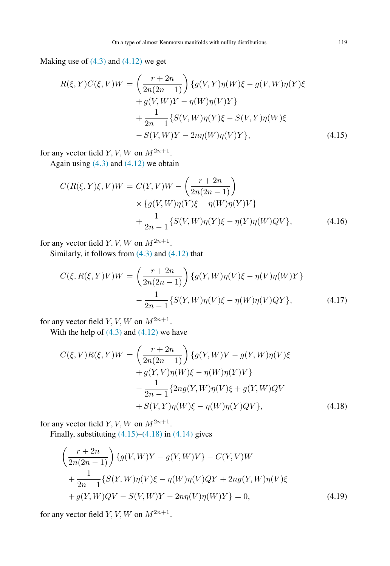Making use of  $(4.3)$  and  $(4.12)$  we get

$$
R(\xi, Y)C(\xi, V)W = \left(\frac{r+2n}{2n(2n-1)}\right) \{g(V, Y)\eta(W)\xi - g(V, W)\eta(Y)\xi + g(V, W)Y - \eta(W)\eta(V)Y\} + \frac{1}{2n-1} \{S(V, W)\eta(Y)\xi - S(V, Y)\eta(W)\xi - S(V, W)Y - 2n\eta(W)\eta(V)Y\},
$$
(4.15)

for any vector field  $Y, V, W$  on  $M^{2n+1}$ .

Again using  $(4.3)$  and  $(4.12)$  we obtain

<span id="page-10-0"></span>
$$
C(R(\xi, Y)\xi, V)W = C(Y, V)W - \left(\frac{r+2n}{2n(2n-1)}\right)
$$
  
× { $g(V, W)\eta(Y)\xi - \eta(W)\eta(Y)V$ }  
+  $\frac{1}{2n-1}$ { $S(V, W)\eta(Y)\xi - \eta(Y)\eta(W)QV$ }, (4.16)

for any vector field  $Y, V, W$  on  $M^{2n+1}$ .

Similarly, it follows from  $(4.3)$  and  $(4.12)$  that

$$
C(\xi, R(\xi, Y)V)W = \left(\frac{r+2n}{2n(2n-1)}\right) \{g(Y, W)\eta(V)\xi - \eta(V)\eta(W)Y\}
$$

$$
-\frac{1}{2n-1} \{S(Y, W)\eta(V)\xi - \eta(W)\eta(V)QY\},\tag{4.17}
$$

for any vector field  $Y, V, W$  on  $M^{2n+1}$ .

With the help of  $(4.3)$  and  $(4.12)$  we have

$$
C(\xi, V)R(\xi, Y)W = \left(\frac{r+2n}{2n(2n-1)}\right) \{g(Y, W)V - g(Y, W)\eta(V)\xi + g(Y, V)\eta(W)\xi - \eta(W)\eta(Y)V\} -\frac{1}{2n-1} \{2ng(Y, W)\eta(V)\xi + g(Y, W)QV + S(V, Y)\eta(W)\xi - \eta(W)\eta(Y)QV\},
$$
(4.18)

for any vector field  $Y, V, W$  on  $M^{2n+1}$ .

Finally, substituting  $(4.15)$ – $(4.18)$  in  $(4.14)$  gives

<span id="page-10-2"></span><span id="page-10-1"></span>
$$
\left(\frac{r+2n}{2n(2n-1)}\right) \{g(V,W)Y - g(Y,W)V\} - C(Y,V)W
$$
  
+ 
$$
\frac{1}{2n-1} \{S(Y,W)\eta(V)\xi - \eta(W)\eta(V)QY + 2ng(Y,W)\eta(V)\xi
$$
  
+ 
$$
g(Y,W)QV - S(V,W)Y - 2n\eta(V)\eta(W)Y\} = 0,
$$
 (4.19)

for any vector field  $Y, V, W$  on  $M^{2n+1}$ .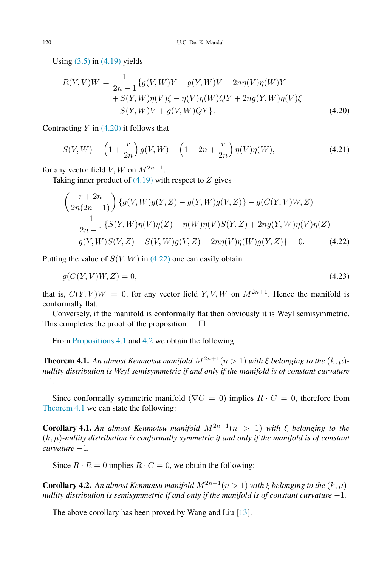Using  $(3.5)$  in  $(4.19)$  yields

<span id="page-11-0"></span>
$$
R(Y, V)W = \frac{1}{2n - 1} \{ g(V, W)Y - g(Y, W)V - 2n\eta(V)\eta(W)Y + S(Y, W)\eta(V)\xi - \eta(V)\eta(W)QY + 2n\eta(Y, W)\eta(V)\xi - S(Y, W)V + g(V, W)QY \}. \tag{4.20}
$$

Contracting  $Y$  in [\(4.20\)](#page-11-0) it follows that

$$
S(V, W) = \left(1 + \frac{r}{2n}\right)g(V, W) - \left(1 + 2n + \frac{r}{2n}\right)\eta(V)\eta(W),\tag{4.21}
$$

for any vector field  $V, W$  on  $M^{2n+1}$ .

Taking inner product of  $(4.19)$  with respect to Z gives

<span id="page-11-1"></span>
$$
\left(\frac{r+2n}{2n(2n-1)}\right) \{g(V,W)g(Y,Z) - g(Y,W)g(V,Z)\} - g(C(Y,V)W,Z) \n+ \frac{1}{2n-1} \{S(Y,W)\eta(V)\eta(Z) - \eta(W)\eta(V)S(Y,Z) + 2ng(Y,W)\eta(V)\eta(Z) \n+ g(Y,W)S(V,Z) - S(V,W)g(Y,Z) - 2n\eta(V)\eta(W)g(Y,Z)\} = 0.
$$
\n(4.22)

Putting the value of  $S(V, W)$  in [\(4.22\)](#page-11-1) one can easily obtain

$$
g(C(Y, V)W, Z) = 0,\t\t(4.23)
$$

that is,  $C(Y, V)W = 0$ , for any vector field Y, V, W on  $M^{2n+1}$ . Hence the manifold is conformally flat.

Conversely, if the manifold is conformally flat then obviously it is Weyl semisymmetric. This completes the proof of the proposition.  $\Box$ 

<span id="page-11-2"></span>From [Propositions 4.1](#page-9-4) and [4.2](#page-9-5) we obtain the following:

**Theorem 4.1.** An almost Kenmotsu manifold  $M^{2n+1}(n > 1)$  with  $\xi$  belonging to the  $(k, \mu)$ *nullity distribution is Weyl semisymmetric if and only if the manifold is of constant curvature* −1*.*

Since conformally symmetric manifold ( $\nabla C = 0$ ) implies  $R \cdot C = 0$ , therefore from [Theorem 4.1](#page-11-2) we can state the following:

**Corollary 4.1.** An almost Kenmotsu manifold  $M^{2n+1}(n > 1)$  with  $\xi$  belonging to the (k, µ)*-nullity distribution is conformally symmetric if and only if the manifold is of constant curvature* −1*.*

Since  $R \cdot R = 0$  implies  $R \cdot C = 0$ , we obtain the following:

**Corollary 4.2.** An almost Kenmotsu manifold  $M^{2n+1}(n > 1)$  with  $\xi$  belonging to the  $(k, \mu)$ *nullity distribution is semisymmetric if and only if the manifold is of constant curvature* −1*.* 

The above corollary has been proved by Wang and Liu [\[13\]](#page-14-5).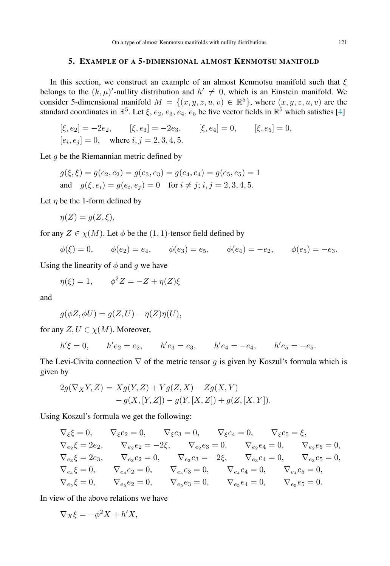### 5. EXAMPLE OF A 5-DIMENSIONAL ALMOST KENMOTSU MANIFOLD

In this section, we construct an example of an almost Kenmotsu manifold such that  $\xi$ belongs to the  $(k, \mu)'$ -nullity distribution and  $h' \neq 0$ , which is an Einstein manifold. We consider 5-dimensional manifold  $M = \{(x, y, z, u, v) \in \mathbb{R}^5\}$ , where  $(x, y, z, u, v)$  are the standard coordinates in  $\mathbb{R}^5$ . Let  $\xi$ ,  $e_2$ ,  $e_3$ ,  $e_4$ ,  $e_5$  be five vector fields in  $\mathbb{R}^5$  which satisfies [\[4\]](#page-13-2)

$$
[\xi, e_2] = -2e_2, \qquad [\xi, e_3] = -2e_3, \qquad [\xi, e_4] = 0, \qquad [\xi, e_5] = 0,
$$
  

$$
[e_i, e_j] = 0, \quad \text{where } i, j = 2, 3, 4, 5.
$$

Let  $q$  be the Riemannian metric defined by

$$
g(\xi, \xi) = g(e_2, e_2) = g(e_3, e_3) = g(e_4, e_4) = g(e_5, e_5) = 1
$$
  
and 
$$
g(\xi, e_i) = g(e_i, e_j) = 0 \text{ for } i \neq j; i, j = 2, 3, 4, 5.
$$

Let  $\eta$  be the 1-form defined by

$$
\eta(Z) = g(Z, \xi),
$$

for any  $Z \in \chi(M)$ . Let  $\phi$  be the  $(1, 1)$ -tensor field defined by

$$
\phi(\xi) = 0,
$$
\n $\phi(e_2) = e_4,$ \n $\phi(e_3) = e_5,$ \n $\phi(e_4) = -e_2,$ \n $\phi(e_5) = -e_3.$ 

Using the linearity of  $\phi$  and g we have

$$
\eta(\xi) = 1, \qquad \phi^2 Z = -Z + \eta(Z)\xi
$$

and

$$
g(\phi Z, \phi U) = g(Z, U) - \eta(Z)\eta(U),
$$

for any  $Z, U \in \chi(M)$ . Moreover,

$$
h'\xi = 0
$$
,  $h'e_2 = e_2$ ,  $h'e_3 = e_3$ ,  $h'e_4 = -e_4$ ,  $h'e_5 = -e_5$ .

The Levi-Civita connection  $\nabla$  of the metric tensor g is given by Koszul's formula which is given by

$$
2g(\nabla_X Y, Z) = Xg(Y, Z) + Yg(Z, X) - Zg(X, Y) - g(X, [Y, Z]) - g(Y, [X, Z]) + g(Z, [X, Y]).
$$

Using Koszul's formula we get the following:

$$
\begin{aligned} \nabla_{\xi}\xi&=0, &\nabla_{\xi}e_{2}=0, &\nabla_{\xi}e_{3}=0, &\nabla_{\xi}e_{4}=0, &\nabla_{\xi}e_{5}=\xi, \\ \nabla_{e_{2}}\xi&=2e_{2}, &\nabla_{e_{2}}e_{2}=-2\xi, &\nabla_{e_{2}}e_{3}=0, &\nabla_{e_{2}}e_{4}=0, &\nabla_{e_{2}}e_{5}=0, \\ \nabla_{e_{3}}\xi&=2e_{3}, &\nabla_{e_{3}}e_{2}=0, &\nabla_{e_{3}}e_{3}=-2\xi, &\nabla_{e_{3}}e_{4}=0, &\nabla_{e_{3}}e_{5}=0, \\ \nabla_{e_{4}}\xi&=0, &\nabla_{e_{4}}e_{2}=0, &\nabla_{e_{4}}e_{3}=0, &\nabla_{e_{4}}e_{4}=0, &\nabla_{e_{4}}e_{5}=0, \\ \nabla_{e_{5}}\xi&=0, &\nabla_{e_{5}}e_{2}=0, &\nabla_{e_{5}}e_{3}=0, &\nabla_{e_{5}}e_{4}=0, &\nabla_{e_{5}}e_{5}=0. \end{aligned}
$$

In view of the above relations we have

$$
\nabla_X \xi = -\phi^2 X + h' X,
$$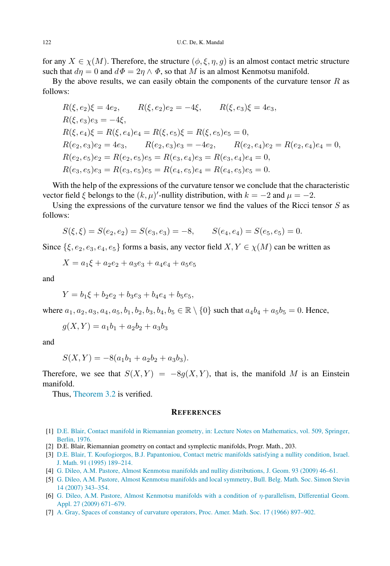for any  $X \in \chi(M)$ . Therefore, the structure  $(\phi, \xi, \eta, g)$  is an almost contact metric structure such that  $d\eta = 0$  and  $d\Phi = 2\eta \wedge \Phi$ , so that M is an almost Kenmotsu manifold.

By the above results, we can easily obtain the components of the curvature tensor  $R$  as follows:

$$
R(\xi, e_2)\xi = 4e_2, \qquad R(\xi, e_2)e_2 = -4\xi, \qquad R(\xi, e_3)\xi = 4e_3,
$$
  
\n
$$
R(\xi, e_3)e_3 = -4\xi,
$$
  
\n
$$
R(\xi, e_4)\xi = R(\xi, e_4)e_4 = R(\xi, e_5)\xi = R(\xi, e_5)e_5 = 0,
$$
  
\n
$$
R(e_2, e_3)e_2 = 4e_3, \qquad R(e_2, e_3)e_3 = -4e_2, \qquad R(e_2, e_4)e_2 = R(e_2, e_4)e_4 = 0,
$$
  
\n
$$
R(e_2, e_5)e_2 = R(e_2, e_5)e_5 = R(e_3, e_4)e_3 = R(e_3, e_4)e_4 = 0,
$$
  
\n
$$
R(e_3, e_5)e_3 = R(e_3, e_5)e_5 = R(e_4, e_5)e_4 = R(e_4, e_5)e_5 = 0.
$$

With the help of the expressions of the curvature tensor we conclude that the characteristic vector field  $\xi$  belongs to the  $(k, \mu)'$ -nullity distribution, with  $k = -2$  and  $\mu = -2$ .

Using the expressions of the curvature tensor we find the values of the Ricci tensor  $S$  as follows:

$$
S(\xi, \xi) = S(e_2, e_2) = S(e_3, e_3) = -8, \qquad S(e_4, e_4) = S(e_5, e_5) = 0.
$$

Since  $\{\xi, e_2, e_3, e_4, e_5\}$  forms a basis, any vector field  $X, Y \in \chi(M)$  can be written as

$$
X = a_1\xi + a_2e_2 + a_3e_3 + a_4e_4 + a_5e_5
$$

and

$$
Y = b_1\xi + b_2e_2 + b_3e_3 + b_4e_4 + b_5e_5,
$$

where  $a_1, a_2, a_3, a_4, a_5, b_1, b_2, b_3, b_4, b_5 \in \mathbb{R} \setminus \{0\}$  such that  $a_4b_4 + a_5b_5 = 0$ . Hence,

$$
g(X,Y) = a_1b_1 + a_2b_2 + a_3b_3
$$

and

$$
S(X,Y) = -8(a_1b_1 + a_2b_2 + a_3b_3).
$$

Therefore, we see that  $S(X, Y) = -8g(X, Y)$ , that is, the manifold M is an Einstein manifold.

Thus, [Theorem 3.2](#page-7-4) is verified.

#### **REFERENCES**

- <span id="page-13-3"></span>[1] D.[E. Blair, Contact manifold in Riemannian geometry, in: Lecture Notes on Mathematics, vol. 509, Springer,](http://refhub.elsevier.com/S1319-5166(16)30001-9/sbref1) Berlin, 1976.
- <span id="page-13-4"></span>[2] D.E. Blair, Riemannian geometry on contact and symplectic manifolds, Progr. Math., 203.
- <span id="page-13-1"></span>[3] D.[E. Blair, T. Koufogiorgos, B.J. Papantoniou, Contact metric manifolds satisfying a nullity condition, Israel.](http://refhub.elsevier.com/S1319-5166(16)30001-9/sbref3) J. Math. 91 (1995) 189–214.
- <span id="page-13-2"></span>[4] G. [Dileo, A.M. Pastore, Almost Kenmotsu manifolds and nullity distributions, J. Geom. 93 \(2009\) 46–61.](http://refhub.elsevier.com/S1319-5166(16)30001-9/sbref4)
- <span id="page-13-5"></span>[5] G. [Dileo, A.M. Pastore, Almost Kenmotsu manifolds and local symmetry, Bull. Belg. Math. Soc. Simon Stevin](http://refhub.elsevier.com/S1319-5166(16)30001-9/sbref5) 14 (2007) 343–354.
- <span id="page-13-6"></span>[6] G. [Dileo, A.M. Pastore, Almost Kenmotsu manifolds with a condition of](http://refhub.elsevier.com/S1319-5166(16)30001-9/sbref6) η-parallelism, Differential Geom. Appl. 27 (2009) 671–679.
- <span id="page-13-0"></span>[7] A. [Gray, Spaces of constancy of curvature operators, Proc. Amer. Math. Soc. 17 \(1966\) 897–902.](http://refhub.elsevier.com/S1319-5166(16)30001-9/sbref7)